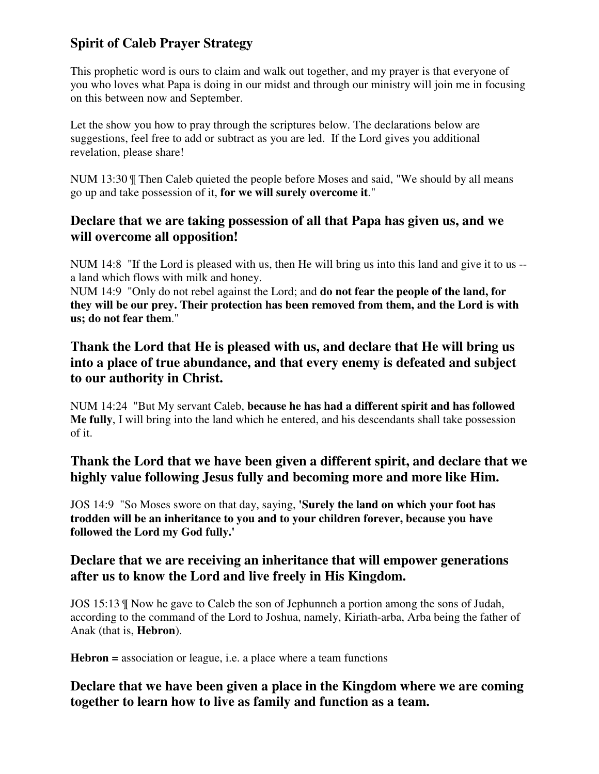# **Spirit of Caleb Prayer Strategy**

This prophetic word is ours to claim and walk out together, and my prayer is that everyone of you who loves what Papa is doing in our midst and through our ministry will join me in focusing on this between now and September.

Let the show you how to pray through the scriptures below. The declarations below are suggestions, feel free to add or subtract as you are led. If the Lord gives you additional revelation, please share!

NUM 13:30 ¶ Then Caleb quieted the people before Moses and said, "We should by all means go up and take possession of it, **for we will surely overcome it**."

### **Declare that we are taking possession of all that Papa has given us, and we will overcome all opposition!**

NUM 14:8 "If the Lord is pleased with us, then He will bring us into this land and give it to us - a land which flows with milk and honey.

NUM 14:9 "Only do not rebel against the Lord; and **do not fear the people of the land, for they will be our prey. Their protection has been removed from them, and the Lord is with us; do not fear them**."

## **Thank the Lord that He is pleased with us, and declare that He will bring us into a place of true abundance, and that every enemy is defeated and subject to our authority in Christ.**

NUM 14:24 "But My servant Caleb, **because he has had a different spirit and has followed Me fully**, I will bring into the land which he entered, and his descendants shall take possession of it.

# **Thank the Lord that we have been given a different spirit, and declare that we highly value following Jesus fully and becoming more and more like Him.**

JOS 14:9 "So Moses swore on that day, saying, **'Surely the land on which your foot has trodden will be an inheritance to you and to your children forever, because you have followed the Lord my God fully.'** 

## **Declare that we are receiving an inheritance that will empower generations after us to know the Lord and live freely in His Kingdom.**

JOS 15:13 ¶ Now he gave to Caleb the son of Jephunneh a portion among the sons of Judah, according to the command of the Lord to Joshua, namely, Kiriath-arba, Arba being the father of Anak (that is, **Hebron**).

**Hebron =** association or league, i.e. a place where a team functions

# **Declare that we have been given a place in the Kingdom where we are coming together to learn how to live as family and function as a team.**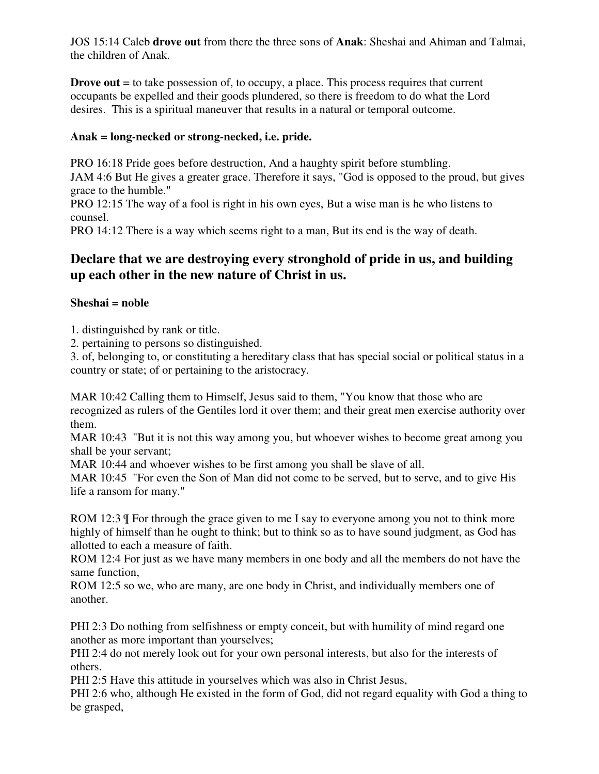JOS 15:14 Caleb **drove out** from there the three sons of **Anak**: Sheshai and Ahiman and Talmai, the children of Anak.

**Drove out** = to take possession of, to occupy, a place. This process requires that current occupants be expelled and their goods plundered, so there is freedom to do what the Lord desires. This is a spiritual maneuver that results in a natural or temporal outcome.

#### **Anak = long-necked or strong-necked, i.e. pride.**

PRO 16:18 Pride goes before destruction, And a haughty spirit before stumbling. JAM 4:6 But He gives a greater grace. Therefore it says, "God is opposed to the proud, but gives grace to the humble."

PRO 12:15 The way of a fool is right in his own eyes, But a wise man is he who listens to counsel.

PRO 14:12 There is a way which seems right to a man, But its end is the way of death.

### **Declare that we are destroying every stronghold of pride in us, and building up each other in the new nature of Christ in us.**

### **Sheshai = noble**

1. distinguished by rank or title.

2. pertaining to persons so distinguished.

3. of, belonging to, or constituting a hereditary class that has special social or political status in a country or state; of or pertaining to the aristocracy.

MAR 10:42 Calling them to Himself, Jesus said to them, "You know that those who are recognized as rulers of the Gentiles lord it over them; and their great men exercise authority over them.

MAR 10:43 "But it is not this way among you, but whoever wishes to become great among you shall be your servant;

MAR 10:44 and whoever wishes to be first among you shall be slave of all.

MAR 10:45 "For even the Son of Man did not come to be served, but to serve, and to give His life a ransom for many."

ROM 12:3  $\parallel$  For through the grace given to me I say to everyone among you not to think more highly of himself than he ought to think; but to think so as to have sound judgment, as God has allotted to each a measure of faith.

ROM 12:4 For just as we have many members in one body and all the members do not have the same function,

ROM 12:5 so we, who are many, are one body in Christ, and individually members one of another.

PHI 2:3 Do nothing from selfishness or empty conceit, but with humility of mind regard one another as more important than yourselves;

PHI 2:4 do not merely look out for your own personal interests, but also for the interests of others.

PHI 2:5 Have this attitude in yourselves which was also in Christ Jesus,

PHI 2:6 who, although He existed in the form of God, did not regard equality with God a thing to be grasped,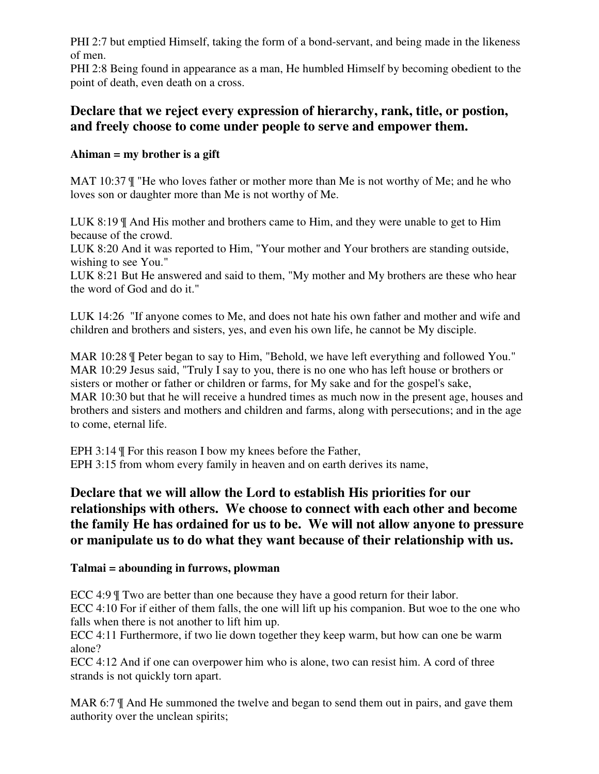PHI 2:7 but emptied Himself, taking the form of a bond-servant, and being made in the likeness of men.

PHI 2:8 Being found in appearance as a man, He humbled Himself by becoming obedient to the point of death, even death on a cross.

### **Declare that we reject every expression of hierarchy, rank, title, or postion, and freely choose to come under people to serve and empower them.**

### **Ahiman = my brother is a gift**

MAT 10:37 ¶ "He who loves father or mother more than Me is not worthy of Me; and he who loves son or daughter more than Me is not worthy of Me.

LUK 8:19 ¶ And His mother and brothers came to Him, and they were unable to get to Him because of the crowd.

LUK 8:20 And it was reported to Him, "Your mother and Your brothers are standing outside, wishing to see You."

LUK 8:21 But He answered and said to them, "My mother and My brothers are these who hear the word of God and do it."

LUK 14:26 "If anyone comes to Me, and does not hate his own father and mother and wife and children and brothers and sisters, yes, and even his own life, he cannot be My disciple.

MAR 10:28 ¶ Peter began to say to Him, "Behold, we have left everything and followed You." MAR 10:29 Jesus said, "Truly I say to you, there is no one who has left house or brothers or sisters or mother or father or children or farms, for My sake and for the gospel's sake, MAR 10:30 but that he will receive a hundred times as much now in the present age, houses and brothers and sisters and mothers and children and farms, along with persecutions; and in the age to come, eternal life.

EPH 3:14 ¶ For this reason I bow my knees before the Father, EPH 3:15 from whom every family in heaven and on earth derives its name,

# **Declare that we will allow the Lord to establish His priorities for our relationships with others. We choose to connect with each other and become the family He has ordained for us to be. We will not allow anyone to pressure or manipulate us to do what they want because of their relationship with us.**

#### **Talmai = abounding in furrows, plowman**

ECC 4:9  $\text{T}$  Two are better than one because they have a good return for their labor. ECC 4:10 For if either of them falls, the one will lift up his companion. But woe to the one who falls when there is not another to lift him up.

ECC 4:11 Furthermore, if two lie down together they keep warm, but how can one be warm alone?

ECC 4:12 And if one can overpower him who is alone, two can resist him. A cord of three strands is not quickly torn apart.

MAR 6:7  $\parallel$  And He summoned the twelve and began to send them out in pairs, and gave them authority over the unclean spirits;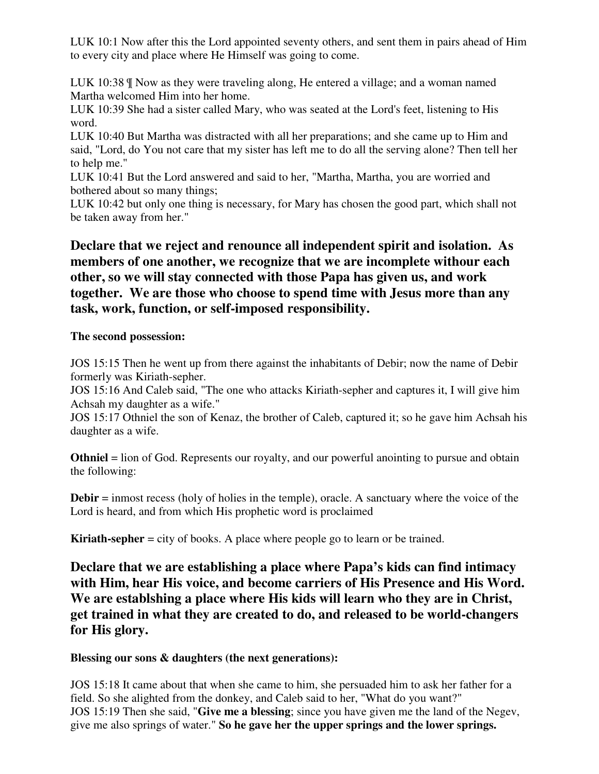LUK 10:1 Now after this the Lord appointed seventy others, and sent them in pairs ahead of Him to every city and place where He Himself was going to come.

LUK 10:38 ¶ Now as they were traveling along, He entered a village; and a woman named Martha welcomed Him into her home.

LUK 10:39 She had a sister called Mary, who was seated at the Lord's feet, listening to His word.

LUK 10:40 But Martha was distracted with all her preparations; and she came up to Him and said, "Lord, do You not care that my sister has left me to do all the serving alone? Then tell her to help me."

LUK 10:41 But the Lord answered and said to her, "Martha, Martha, you are worried and bothered about so many things;

LUK 10:42 but only one thing is necessary, for Mary has chosen the good part, which shall not be taken away from her."

# **Declare that we reject and renounce all independent spirit and isolation. As members of one another, we recognize that we are incomplete withour each other, so we will stay connected with those Papa has given us, and work together. We are those who choose to spend time with Jesus more than any task, work, function, or self-imposed responsibility.**

#### **The second possession:**

JOS 15:15 Then he went up from there against the inhabitants of Debir; now the name of Debir formerly was Kiriath-sepher.

JOS 15:16 And Caleb said, "The one who attacks Kiriath-sepher and captures it, I will give him Achsah my daughter as a wife."

JOS 15:17 Othniel the son of Kenaz, the brother of Caleb, captured it; so he gave him Achsah his daughter as a wife.

**Othniel** = lion of God. Represents our royalty, and our powerful anointing to pursue and obtain the following:

**Debir** = inmost recess (holy of holies in the temple), oracle. A sanctuary where the voice of the Lord is heard, and from which His prophetic word is proclaimed

**Kiriath-sepher** = city of books. A place where people go to learn or be trained.

**Declare that we are establishing a place where Papa's kids can find intimacy with Him, hear His voice, and become carriers of His Presence and His Word. We are establshing a place where His kids will learn who they are in Christ, get trained in what they are created to do, and released to be world-changers for His glory.** 

#### **Blessing our sons & daughters (the next generations):**

JOS 15:18 It came about that when she came to him, she persuaded him to ask her father for a field. So she alighted from the donkey, and Caleb said to her, "What do you want?" JOS 15:19 Then she said, "**Give me a blessing**; since you have given me the land of the Negev, give me also springs of water." **So he gave her the upper springs and the lower springs.**